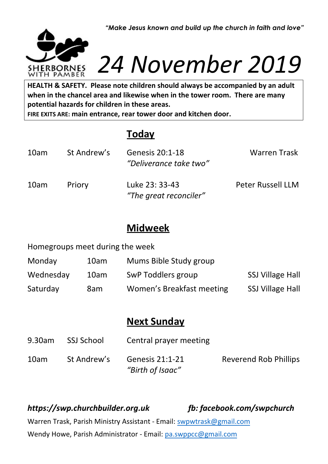*"Make Jesus known and build up the church in faith and love"*



# *24 November 2019*

**HEALTH & SAFETY.** Please note children should always be accompanied by an adult when in the chancel area and likewise when in the tower room. There are many potential hazards for children in these areas. **when in the chancel area and likewise when in the tower room. There are many potential hazards for children in these areas.**

**FIRE EXITS ARE: main entrance, rear tower door and kitchen door.**

## **Today**

| 10am | St Andrew's | Genesis 20:1-18<br>"Deliverance take two" | <b>Warren Trask</b>      |
|------|-------------|-------------------------------------------|--------------------------|
| 10am | Priory      | Luke 23: 33-43<br>"The great reconciler"  | <b>Peter Russell LLM</b> |

### **Midweek**

Homegroups meet during the week

| Monday    | 10am | Mums Bible Study group    |                         |
|-----------|------|---------------------------|-------------------------|
| Wednesday | 10am | SwP Toddlers group        | <b>SSJ Village Hall</b> |
| Saturday  | 8am  | Women's Breakfast meeting | <b>SSJ Village Hall</b> |

## **Next Sunday**

| $9.30$ am | SSJ School  | Central prayer meeting                     |                              |
|-----------|-------------|--------------------------------------------|------------------------------|
| 10am      | St Andrew's | <b>Genesis 21:1-21</b><br>"Birth of Isaac" | <b>Reverend Rob Phillips</b> |

*https://swp.churchbuilder.org.uk fb: facebook.com/swpchurch* Warren Trask, Parish Ministry Assistant - Email: [swpwtrask@gmail.com](mailto:swpwtrask@gmail.com) Wendy Howe, Parish Administrator - Email: [pa.swppcc@gmail.com](mailto:pa.swppcc@gmail.com)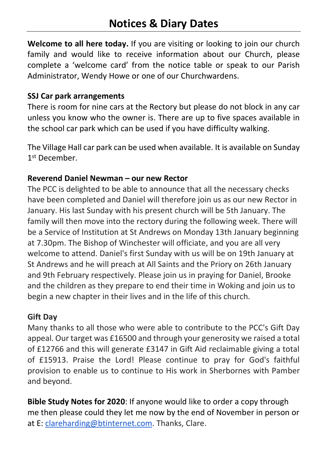**Welcome to all here today.** If you are visiting or looking to join our church family and would like to receive information about our Church, please complete a 'welcome card' from the notice table or speak to our Parish Administrator, Wendy Howe or one of our Churchwardens.

#### **SSJ Car park arrangements**

There is room for nine cars at the Rectory but please do not block in any car unless you know who the owner is. There are up to five spaces available in the school car park which can be used if you have difficulty walking.

The Village Hall car park can be used when available. It is available on Sunday 1<sup>st</sup> December.

#### **Reverend Daniel Newman – our new Rector**

The PCC is delighted to be able to announce that all the necessary checks have been completed and Daniel will therefore join us as our new Rector in January. His last Sunday with his present church will be 5th January. The family will then move into the rectory during the following week. There will be a Service of Institution at St Andrews on Monday 13th January beginning at 7.30pm. The Bishop of Winchester will officiate, and you are all very welcome to attend. Daniel's first Sunday with us will be on 19th January at St Andrews and he will preach at All Saints and the Priory on 26th January and 9th February respectively. Please join us in praying for Daniel, Brooke and the children as they prepare to end their time in Woking and join us to begin a new chapter in their lives and in the life of this church.

#### **Gift Day**

Many thanks to all those who were able to contribute to the PCC's Gift Day appeal. Our target was £16500 and through your generosity we raised a total of £12766 and this will generate £3147 in Gift Aid reclaimable giving a total of £15913. Praise the Lord! Please continue to pray for God's faithful provision to enable us to continue to His work in Sherbornes with Pamber and beyond.

**Bible Study Notes for 2020**: If anyone would like to order a copy through me then please could they let me now by the end of November in person or at E: [clareharding@btinternet.com.](mailto:clareharding@btinternet.com) Thanks, Clare.